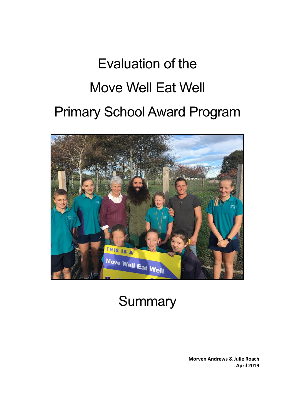# Evaluation of the Move Well Eat Well Primary School Award Program



## **Summary**

**Morven Andrews & Julie Roach April 2019**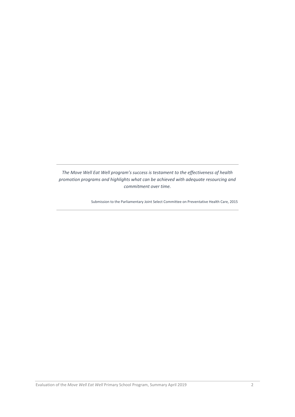*The Move Well Eat Well program's success is testament to the effectiveness of health promotion programs and highlights what can be achieved with adequate resourcing and commitment over time.* 

Submission to the Parliamentary Joint Select Committee on Preventative Health Care, 2015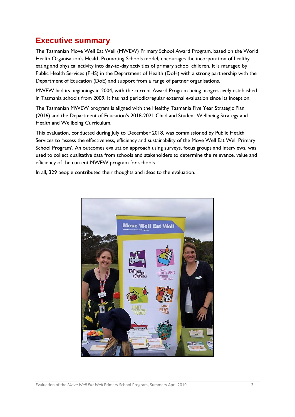### **Executive summary**

The Tasmanian Move Well Eat Well (MWEW) Primary School Award Program, based on the World Health Organisation's Health Promoting Schools model, encourages the incorporation of healthy eating and physical activity into day-to-day activities of primary school children. It is managed by Public Health Services (PHS) in the Department of Health (DoH) with a strong partnership with the Department of Education (DoE) and support from a range of partner organisations.

MWEW had its beginnings in 2004, with the current Award Program being progressively established in Tasmania schools from 2009. It has had periodic/regular external evaluation since its inception.

The Tasmanian MWEW program is aligned with the Healthy Tasmania Five Year Strategic Plan (2016) and the Department of Education's 2018-2021 Child and Student Wellbeing Strategy and Health and Wellbeing Curriculum.

This evaluation, conducted during July to December 2018, was commissioned by Public Health Services to 'assess the effectiveness, efficiency and sustainability of the Move Well Eat Well Primary School Program'. An outcomes evaluation approach using surveys, focus groups and interviews, was used to collect qualitative data from schools and stakeholders to determine the relevance, value and efficiency of the current MWEW program for schools.

In all, 329 people contributed their thoughts and ideas to the evaluation.

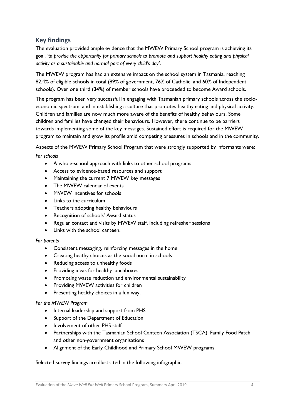#### **Key findings**

The evaluation provided ample evidence that the MWEW Primary School program is achieving its goal, *'to provide the opportunity for primary schools to promote and support healthy eating and physical activity as a sustainable and normal part of every child's day'*.

The MWEW program has had an extensive impact on the school system in Tasmania, reaching 82.4% of eligible schools in total (89% of government, 76% of Catholic, and 60% of Independent schools). Over one third (34%) of member schools have proceeded to become Award schools.

The program has been very successful in engaging with Tasmanian primary schools across the socioeconomic spectrum, and in establishing a culture that promotes healthy eating and physical activity. Children and families are now much more aware of the benefits of healthy behaviours. Some children and families have changed their behaviours. However, there continue to be barriers towards implementing some of the key messages. Sustained effort is required for the MWEW program to maintain and grow its profile amid competing pressures in schools and in the community.

Aspects of the MWEW Primary School Program that were strongly supported by informants were: *For schools*

- A whole-school approach with links to other school programs
- Access to evidence-based resources and support
- Maintaining the current 7 MWEW key messages
- The MWEW calendar of events
- MWEW incentives for schools
- Links to the curriculum
- Teachers adopting healthy behaviours
- Recognition of schools' Award status
- Regular contact and visits by MWEW staff, including refresher sessions
- Links with the school canteen.

#### *For parents*

- Consistent messaging, reinforcing messages in the home
- Creating heathy choices as the social norm in schools
- Reducing access to unhealthy foods
- Providing ideas for healthy lunchboxes
- Promoting waste reduction and environmental sustainability
- Providing MWEW activities for children
- Presenting healthy choices in a fun way.

#### *For the MWEW Program*

- Internal leadership and support from PHS
- Support of the Department of Education
- Involvement of other PHS staff
- Partnerships with the Tasmanian School Canteen Association (TSCA), Family Food Patch and other non-government organisations
- Alignment of the Early Childhood and Primary School MWEW programs.

#### Selected survey findings are illustrated in the following infographic.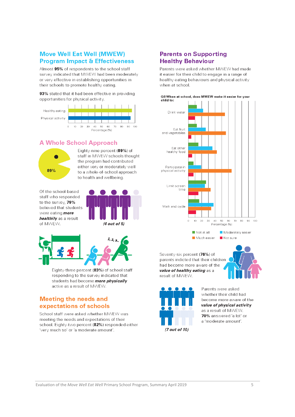#### **Move Well Eat Well (MWEW) Program Impact & Effectiveness**

Almost 95% of respondents to the school staff survey indicated that MWEW had been moderately or very effective in establishing opportunities in their schools to promote healthy eating.

93% stated that it had been effective in providing opportunities for physical activity.



#### **A Whole School Approach**



Fighty-nine percent (89%) of staff in MWEW schools thought the program had contributed either very or moderately well to a whole-of-school approach to health and wellbeing.

Of the school-based staff who responded to the survey, 79% believed that students were eating *more* healthily as a result of MWEW.





Eighty-three percent (83%) of school staff responding to the survey indicated that students had become *more physically* active as a result of MWEW.

#### **Meeting the needs and** expectations of schools

School staff were asked whether MWEW was meeting the needs and expectations of their school. Eighty-two percent (82%) responded either 'very much so' or 'a moderate amount'.

#### **Parents on Supporting Healthy Behaviour**

Parents were asked whether MWFW had made it easier for their child to engage in a range of healthy eating behaviours and physical activity when at school.





Seventy-six percent (76%) of parents indicted that their children had become more aware of the value of healthy eating as a result of MWFW.





Parents were asked whether their child had become more aware of the value of physical activity as a result of MWEW. 70% answered 'a lot' or a 'moderate amount'.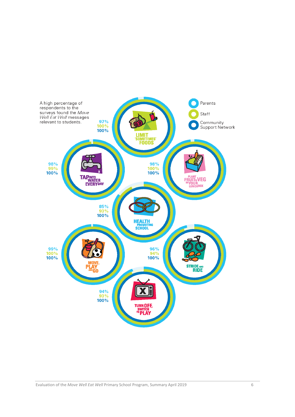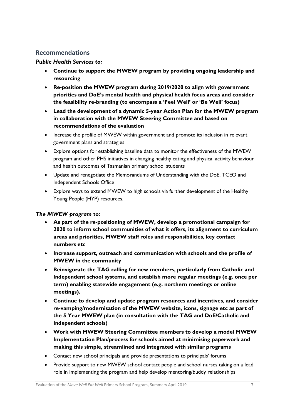#### **Recommendations**

#### *Public Health Services to:*

- **Continue to support the MWEW program by providing ongoing leadership and resourcing**
- **Re-position the MWEW program during 2019/2020 to align with government priorities and DoE's mental health and physical health focus areas and consider the feasibility re-branding (to encompass a 'Feel Well' or 'Be Well' focus)**
- **Lead the development of a dynamic 5-year Action Plan for the MWEW program in collaboration with the MWEW Steering Committee and based on recommendations of the evaluation**
- Increase the profile of MWEW within government and promote its inclusion in relevant government plans and strategies
- Explore options for establishing baseline data to monitor the effectiveness of the MWEW program and other PHS initiatives in changing healthy eating and physical activity behaviour and health outcomes of Tasmanian primary school students
- Update and renegotiate the Memorandums of Understanding with the DoE, TCEO and Independent Schools Office
- Explore ways to extend MWEW to high schools via further development of the Healthy Young People (HYP) resources.

#### *The MWEW program to:*

- **As part of the re-positioning of MWEW, develop a promotional campaign for 2020 to inform school communities of what it offers, its alignment to curriculum areas and priorities, MWEW staff roles and responsibilities, key contact numbers etc**
- **Increase support, outreach and communication with schools and the profile of MWEW in the community**
- **Reinvigorate the TAG calling for new members, particularly from Catholic and Independent school systems, and establish more regular meetings (e.g. once per term) enabling statewide engagement (e.g. northern meetings or online meetings).**
- **Continue to develop and update program resources and incentives, and consider re-vamping/modernisation of the MWEW website, icons, signage etc as part of the 5 Year MWEW plan (in consultation with the TAG and DoE/Catholic and Independent schools)**
- **Work with MWEW Steering Committee members to develop a model MWEW Implementation Plan/process for schools aimed at minimising paperwork and making this simple, streamlined and integrated with similar programs**
- Contact new school principals and provide presentations to principals' forums
- Provide support to new MWEW school contact people and school nurses taking on a lead role in implementing the program and help develop mentoring/buddy relationships